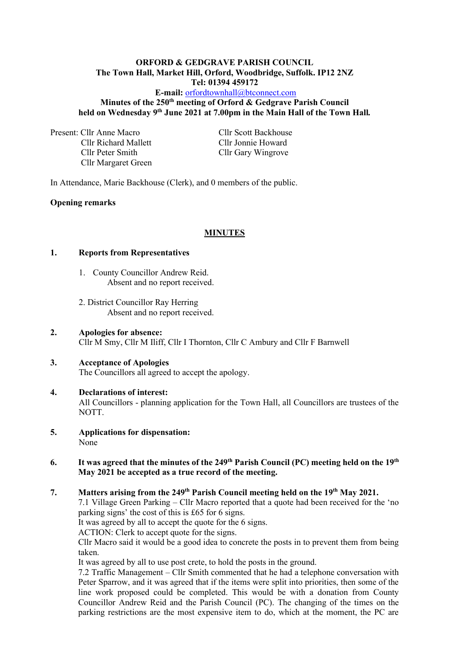#### **ORFORD & GEDGRAVE PARISH COUNCIL The Town Hall, Market Hill, Orford, Woodbridge, Suffolk. IP12 2NZ Tel: 01394 459172**

### **E-mail:** [orfordtownhall@btconnect.com](mailto:orfordtownhall@btconnect.com) **Minutes of the 250th meeting of Orford & Gedgrave Parish Council held on Wednesday 9 th June 2021 at 7.00pm in the Main Hall of the Town Hall***.*

Present: Cllr Anne Macro Cllr Scott Backhouse Cllr Richard Mallett Cllr Jonnie Howard Cllr Peter Smith Cllr Gary Wingrove Cllr Margaret Green

In Attendance, Marie Backhouse (Clerk), and 0 members of the public.

#### **Opening remarks**

### **MINUTES**

#### **1. Reports from Representatives**

- 1. County Councillor Andrew Reid. Absent and no report received.
- 2. District Councillor Ray Herring Absent and no report received.

### **2. Apologies for absence:** Cllr M Smy, Cllr M Iliff, Cllr I Thornton, Cllr C Ambury and Cllr F Barnwell

## **3. Acceptance of Apologies** The Councillors all agreed to accept the apology.

### **4. Declarations of interest:** All Councillors - planning application for the Town Hall, all Councillors are trustees of the NOTT.

**5. Applications for dispensation:** None

#### **6.** It was agreed that the minutes of the 249<sup>th</sup> Parish Council (PC) meeting held on the 19<sup>th</sup> **May 2021 be accepted as a true record of the meeting.**

## **7. Matters arising from the 249 th Parish Council meeting held on the 19 th May 2021.**

7.1 Village Green Parking – Cllr Macro reported that a quote had been received for the 'no parking signs' the cost of this is £65 for 6 signs.

It was agreed by all to accept the quote for the 6 signs.

ACTION: Clerk to accept quote for the signs.

Cllr Macro said it would be a good idea to concrete the posts in to prevent them from being taken.

It was agreed by all to use post crete, to hold the posts in the ground.

7.2 Traffic Management – Cllr Smith commented that he had a telephone conversation with Peter Sparrow, and it was agreed that if the items were split into priorities, then some of the line work proposed could be completed. This would be with a donation from County Councillor Andrew Reid and the Parish Council (PC). The changing of the times on the parking restrictions are the most expensive item to do, which at the moment, the PC are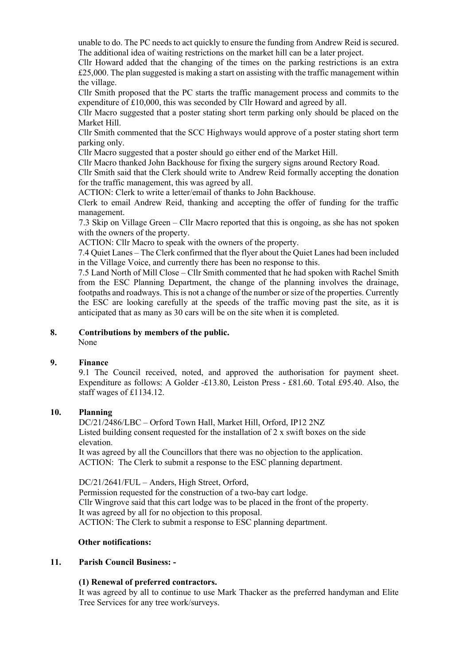unable to do. The PC needs to act quickly to ensure the funding from Andrew Reid is secured. The additional idea of waiting restrictions on the market hill can be a later project.

Cllr Howard added that the changing of the times on the parking restrictions is an extra £25,000. The plan suggested is making a start on assisting with the traffic management within the village.

Cllr Smith proposed that the PC starts the traffic management process and commits to the expenditure of £10,000, this was seconded by Cllr Howard and agreed by all.

Cllr Macro suggested that a poster stating short term parking only should be placed on the Market Hill.

Cllr Smith commented that the SCC Highways would approve of a poster stating short term parking only.

Cllr Macro suggested that a poster should go either end of the Market Hill.

Cllr Macro thanked John Backhouse for fixing the surgery signs around Rectory Road.

Cllr Smith said that the Clerk should write to Andrew Reid formally accepting the donation for the traffic management, this was agreed by all.

ACTION: Clerk to write a letter/email of thanks to John Backhouse.

Clerk to email Andrew Reid, thanking and accepting the offer of funding for the traffic management.

7.3 Skip on Village Green – Cllr Macro reported that this is ongoing, as she has not spoken with the owners of the property.

ACTION: Cllr Macro to speak with the owners of the property.

7.4 Quiet Lanes – The Clerk confirmed that the flyer about the Quiet Lanes had been included in the Village Voice, and currently there has been no response to this.

7.5 Land North of Mill Close – Cllr Smith commented that he had spoken with Rachel Smith from the ESC Planning Department, the change of the planning involves the drainage, footpaths and roadways. This is not a change of the number or size of the properties. Currently the ESC are looking carefully at the speeds of the traffic moving past the site, as it is anticipated that as many as 30 cars will be on the site when it is completed.

### **8. Contributions by members of the public.**

None

### **9. Finance**

9.1 The Council received, noted, and approved the authorisation for payment sheet. Expenditure as follows: A Golder -£13.80, Leiston Press - £81.60. Total £95.40. Also, the staff wages of £1134.12.

#### **10. Planning**

DC/21/2486/LBC – Orford Town Hall, Market Hill, Orford, IP12 2NZ Listed building consent requested for the installation of 2 x swift boxes on the side elevation.

It was agreed by all the Councillors that there was no objection to the application. ACTION: The Clerk to submit a response to the ESC planning department.

DC/21/2641/FUL – Anders, High Street, Orford,

Permission requested for the construction of a two-bay cart lodge. Cllr Wingrove said that this cart lodge was to be placed in the front of the property. It was agreed by all for no objection to this proposal. ACTION: The Clerk to submit a response to ESC planning department.

#### **Other notifications:**

#### **11. Parish Council Business: -**

#### **(1) Renewal of preferred contractors.**

It was agreed by all to continue to use Mark Thacker as the preferred handyman and Elite Tree Services for any tree work/surveys.